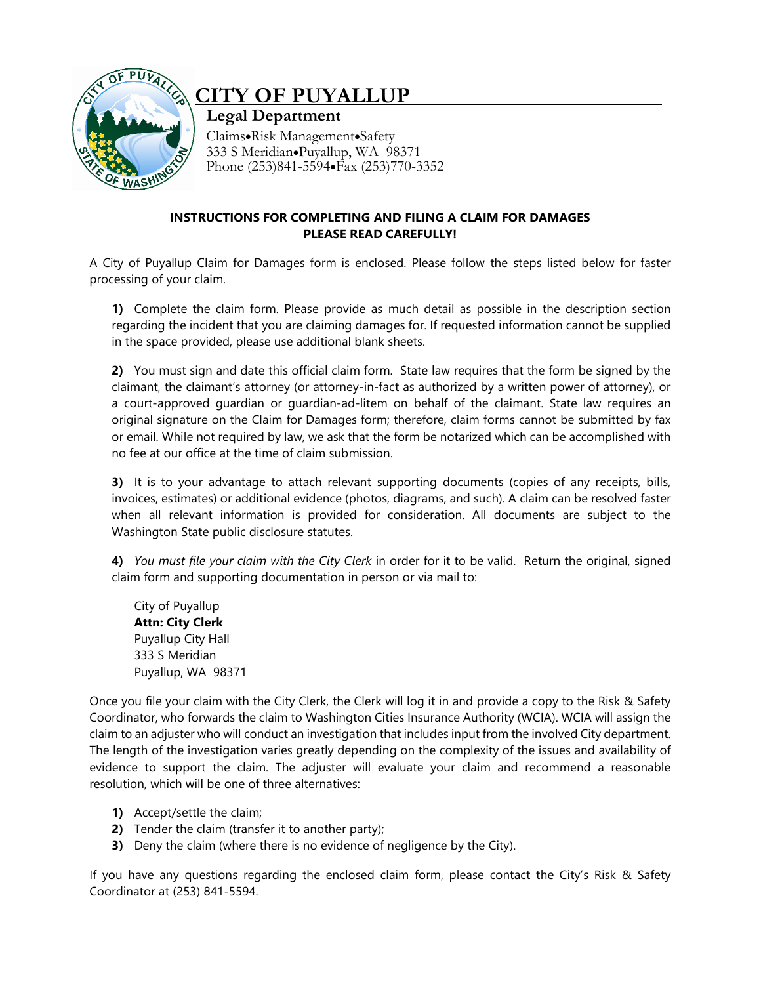

## **CITY OF PUYALLUP**

**Legal Department** Claims•Risk Management•Safety 333 S Meridian•Puyallup, WA 98371 Phone (253)841-5594•Fax (253)770-3352

## **INSTRUCTIONS FOR COMPLETING AND FILING A CLAIM FOR DAMAGES PLEASE READ CAREFULLY!**

A City of Puyallup Claim for Damages form is enclosed. Please follow the steps listed below for faster processing of your claim.

**1)** Complete the claim form. Please provide as much detail as possible in the description section regarding the incident that you are claiming damages for. If requested information cannot be supplied in the space provided, please use additional blank sheets.

**2)** You must sign and date this official claim form. State law requires that the form be signed by the claimant, the claimant's attorney (or attorney-in-fact as authorized by a written power of attorney), or a court-approved guardian or guardian-ad-litem on behalf of the claimant. State law requires an original signature on the Claim for Damages form; therefore, claim forms cannot be submitted by fax or email. While not required by law, we ask that the form be notarized which can be accomplished with no fee at our office at the time of claim submission.

**3)** It is to your advantage to attach relevant supporting documents (copies of any receipts, bills, invoices, estimates) or additional evidence (photos, diagrams, and such). A claim can be resolved faster when all relevant information is provided for consideration. All documents are subject to the Washington State public disclosure statutes.

**4)** *You must file your claim with the City Clerk* in order for it to be valid. Return the original, signed claim form and supporting documentation in person or via mail to:

City of Puyallup **Attn: City Clerk** Puyallup City Hall 333 S Meridian Puyallup, WA 98371

Once you file your claim with the City Clerk, the Clerk will log it in and provide a copy to the Risk & Safety Coordinator, who forwards the claim to Washington Cities Insurance Authority (WCIA). WCIA will assign the claim to an adjuster who will conduct an investigation that includes input from the involved City department. The length of the investigation varies greatly depending on the complexity of the issues and availability of evidence to support the claim. The adjuster will evaluate your claim and recommend a reasonable resolution, which will be one of three alternatives:

- **1)** Accept/settle the claim;
- **2)** Tender the claim (transfer it to another party);
- **3)** Deny the claim (where there is no evidence of negligence by the City).

If you have any questions regarding the enclosed claim form, please contact the City's Risk & Safety Coordinator at (253) 841-5594.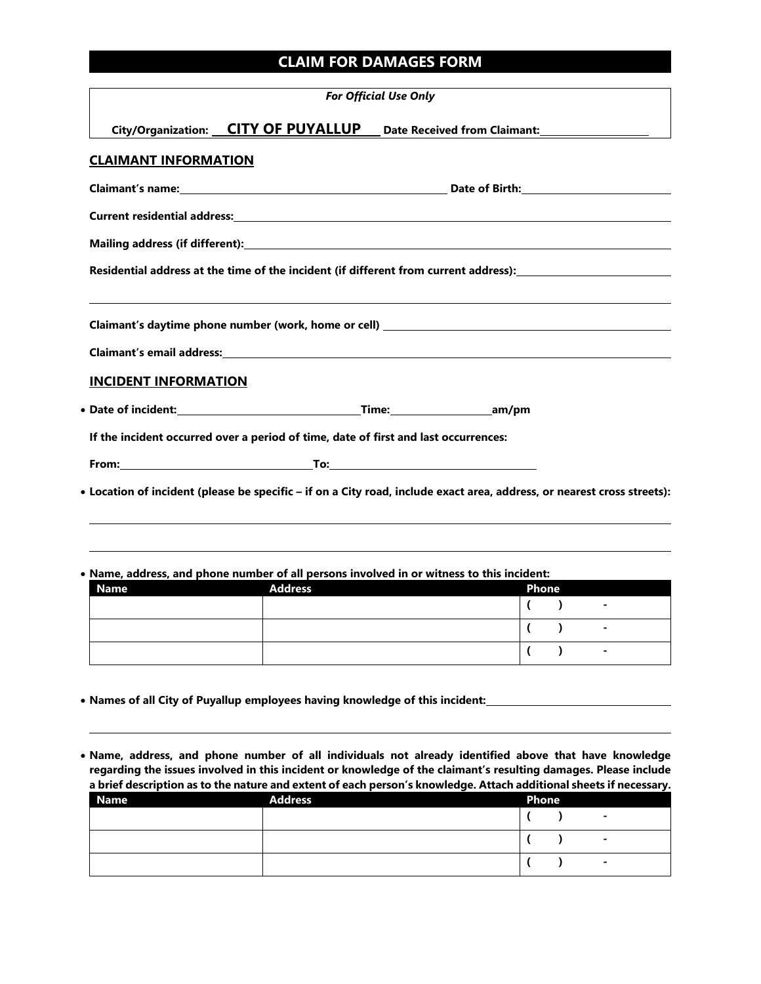## **CLAIM FOR DAMAGES FORM**

| <b>For Official Use Only</b>                                                        |  |                                                                                                                         |  |  |  |
|-------------------------------------------------------------------------------------|--|-------------------------------------------------------------------------------------------------------------------------|--|--|--|
|                                                                                     |  | City/Organization: CITY OF PUYALLUP Date Received from Claimant:                                                        |  |  |  |
| <b>CLAIMANT INFORMATION</b>                                                         |  |                                                                                                                         |  |  |  |
|                                                                                     |  |                                                                                                                         |  |  |  |
|                                                                                     |  |                                                                                                                         |  |  |  |
|                                                                                     |  |                                                                                                                         |  |  |  |
|                                                                                     |  | Residential address at the time of the incident (if different from current address): ________________________           |  |  |  |
|                                                                                     |  |                                                                                                                         |  |  |  |
|                                                                                     |  |                                                                                                                         |  |  |  |
|                                                                                     |  |                                                                                                                         |  |  |  |
| <b>INCIDENT INFORMATION</b>                                                         |  |                                                                                                                         |  |  |  |
|                                                                                     |  |                                                                                                                         |  |  |  |
| If the incident occurred over a period of time, date of first and last occurrences: |  |                                                                                                                         |  |  |  |
|                                                                                     |  |                                                                                                                         |  |  |  |
|                                                                                     |  | • Location of incident (please be specific – if on a City road, include exact area, address, or nearest cross streets): |  |  |  |
|                                                                                     |  |                                                                                                                         |  |  |  |
|                                                                                     |  |                                                                                                                         |  |  |  |

• **Name, address, and phone number of all persons involved in or witness to this incident:**

| <b>Name</b> | <b>Address</b> | <b>Phone</b> |  |                |
|-------------|----------------|--------------|--|----------------|
|             |                |              |  | $\sim$         |
|             |                |              |  | $\blacksquare$ |
|             |                |              |  | $\sim$         |

• **Names of all City of Puyallup employees having knowledge of this incident:**

• **Name, address, and phone number of all individuals not already identified above that have knowledge regarding the issues involved in this incident or knowledge of the claimant's resulting damages. Please include a brief description as to the nature and extent of each person's knowledge. Attach additional sheets if necessary.**

| <b>Name</b> | <b>Address</b> | <b>Phone</b> |                |
|-------------|----------------|--------------|----------------|
|             |                |              | ۰              |
|             |                |              | ۰              |
|             |                |              | $\blacksquare$ |